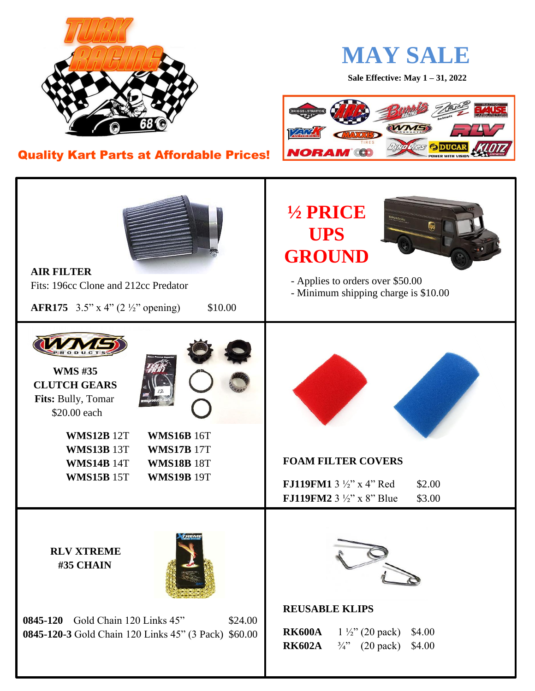